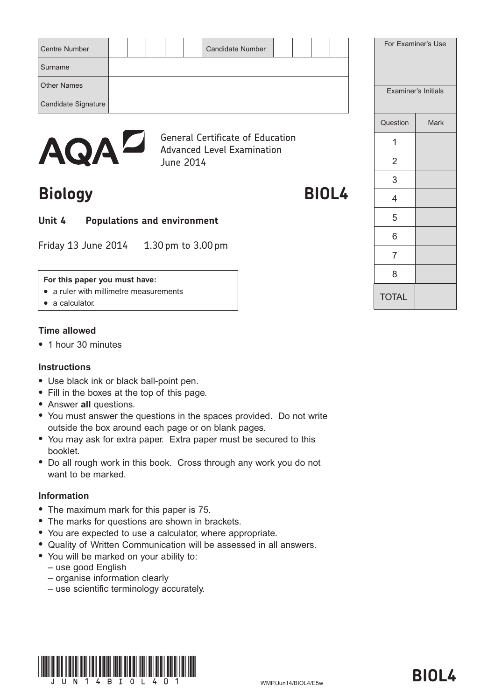| <b>Centre Number</b> |  |  | <b>Candidate Number</b> |  |  | For Examiner's Use  |             |
|----------------------|--|--|-------------------------|--|--|---------------------|-------------|
| Surname              |  |  |                         |  |  |                     |             |
| <b>Other Names</b>   |  |  |                         |  |  | Examiner's Initials |             |
| Candidate Signature  |  |  |                         |  |  |                     |             |
|                      |  |  |                         |  |  | Question            | <b>Mark</b> |



General Certificate of Education Advanced Level Examination June 2014

# **Biology BIOL4**

# **Unit 4 Populations and environment**

Friday 13 June 2014 1.30 pm to 3.00 pm

#### **For this paper you must have:**

- a ruler with millimetre measurements
- $\bullet$  a calculator.

## **Time allowed**

• 1 hour 30 minutes

#### **Instructions**

- Use black ink or black ball-point pen.
- Fill in the boxes at the top of this page.
- **Answer all questions.**
- You must answer the questions in the spaces provided. Do not write outside the box around each page or on blank pages.
- You may ask for extra paper. Extra paper must be secured to this booklet.
- Do all rough work in this book. Cross through any work you do not want to be marked.

## **Information**

- The maximum mark for this paper is 75.
- The marks for questions are shown in brackets.
- You are expected to use a calculator, where appropriate.
- Quality of Written Communication will be assessed in all answers.
- You will be marked on your ability to:
	- use good English
	- organise information clearly
	- use scientific terminology accurately.





TOTAL

1

2

3

4

5

6

7

8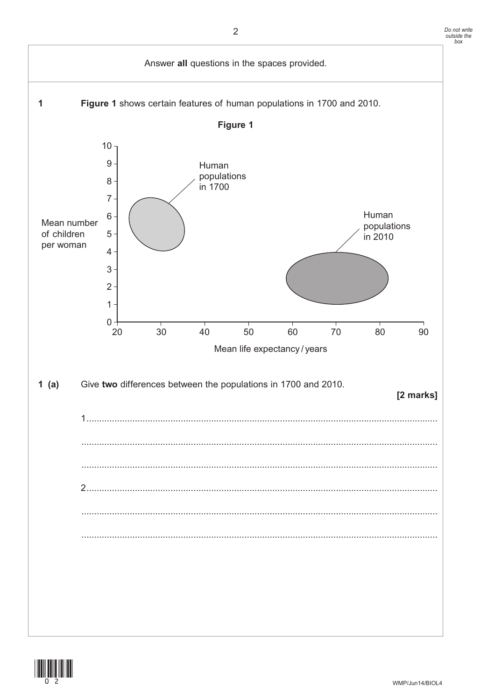

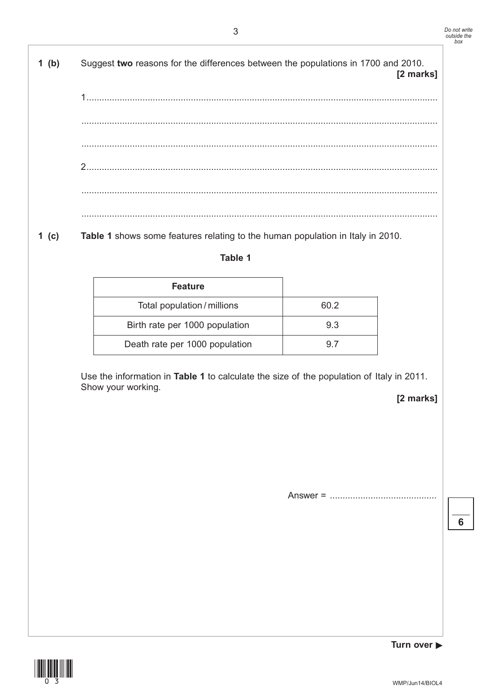$1$  (b) Suggest two reasons for the differences between the populations in 1700 and 2010. [2 marks]  $1 \quad \overline{\phantom{a}}$ 

 $1 (c)$ Table 1 shows some features relating to the human population in Italy in 2010.

## Table 1

| <b>Feature</b>                 |      |
|--------------------------------|------|
| Total population / millions    | 60 2 |
| Birth rate per 1000 population | 9.3  |
| Death rate per 1000 population | 97   |

Use the information in Table 1 to calculate the size of the population of Italy in 2011. Show your working.

[2 marks]



Turn over ▶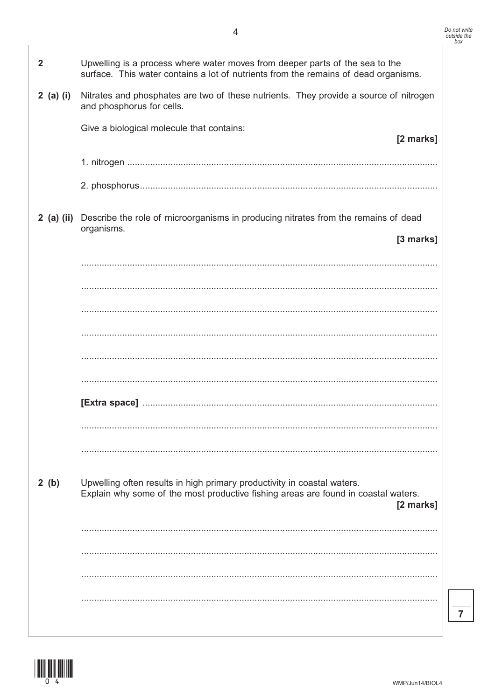| $\mathbf{2}$ | Upwelling is a process where water moves from deeper parts of the sea to the<br>surface. This water contains a lot of nutrients from the remains of dead organisms.        |
|--------------|----------------------------------------------------------------------------------------------------------------------------------------------------------------------------|
| $2$ (a) (i)  | Nitrates and phosphates are two of these nutrients. They provide a source of nitrogen<br>and phosphorus for cells.                                                         |
|              | Give a biological molecule that contains:<br>[2 marks]                                                                                                                     |
|              |                                                                                                                                                                            |
|              |                                                                                                                                                                            |
|              | 2 (a) (ii) Describe the role of microorganisms in producing nitrates from the remains of dead<br>organisms.                                                                |
|              | [3 marks]                                                                                                                                                                  |
|              |                                                                                                                                                                            |
|              |                                                                                                                                                                            |
|              |                                                                                                                                                                            |
|              |                                                                                                                                                                            |
|              |                                                                                                                                                                            |
|              |                                                                                                                                                                            |
|              |                                                                                                                                                                            |
|              |                                                                                                                                                                            |
|              |                                                                                                                                                                            |
| 2(b)         | Upwelling often results in high primary productivity in coastal waters.<br>Explain why some of the most productive fishing areas are found in coastal waters.<br>[2 marks] |
|              |                                                                                                                                                                            |
|              |                                                                                                                                                                            |
|              |                                                                                                                                                                            |
|              |                                                                                                                                                                            |
|              |                                                                                                                                                                            |

 $\overline{7}$ 

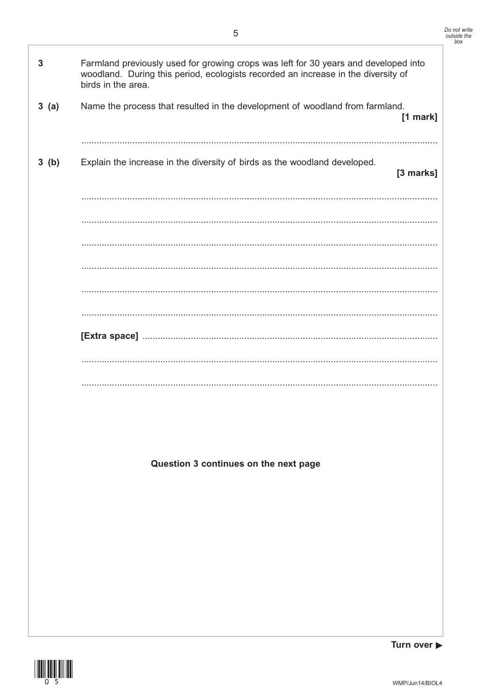| 3    | Farmland previously used for growing crops was left for 30 years and developed into<br>woodland. During this period, ecologists recorded an increase in the diversity of<br>birds in the area. |
|------|------------------------------------------------------------------------------------------------------------------------------------------------------------------------------------------------|
| 3(a) | Name the process that resulted in the development of woodland from farmland.<br>[1 mark]                                                                                                       |
| 3(b) | Explain the increase in the diversity of birds as the woodland developed.<br>[3 marks]                                                                                                         |
|      |                                                                                                                                                                                                |
|      |                                                                                                                                                                                                |
|      |                                                                                                                                                                                                |
|      |                                                                                                                                                                                                |
|      |                                                                                                                                                                                                |
|      |                                                                                                                                                                                                |
|      |                                                                                                                                                                                                |
|      |                                                                                                                                                                                                |
|      | Question 3 continues on the next page                                                                                                                                                          |
|      |                                                                                                                                                                                                |
|      |                                                                                                                                                                                                |
|      |                                                                                                                                                                                                |
|      |                                                                                                                                                                                                |
|      |                                                                                                                                                                                                |

 $\overline{5}$ 

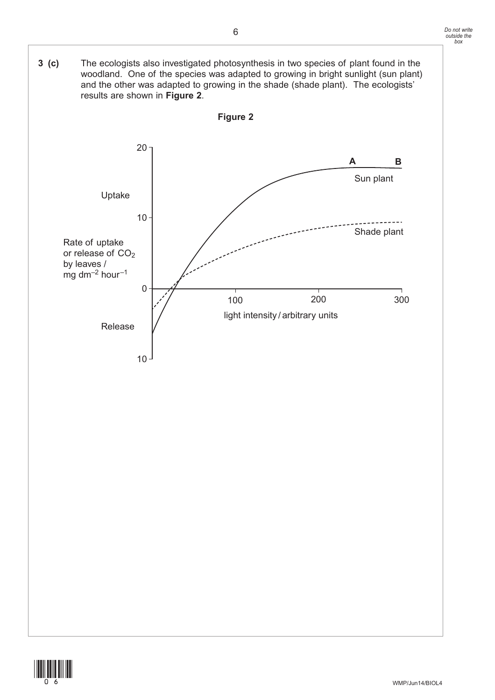

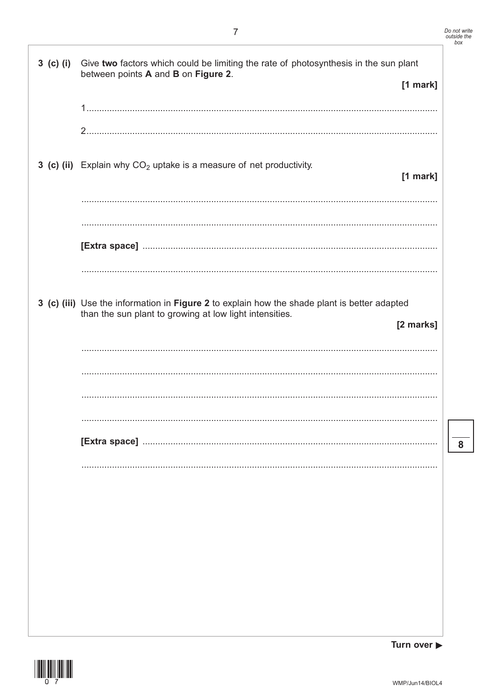| $3$ (c) (i) | Give two factors which could be limiting the rate of photosynthesis in the sun plant<br>between points A and B on Figure 2.                             | $[1$ mark] |
|-------------|---------------------------------------------------------------------------------------------------------------------------------------------------------|------------|
|             |                                                                                                                                                         |            |
|             |                                                                                                                                                         |            |
|             | 3 (c) (ii) Explain why $CO2$ uptake is a measure of net productivity.                                                                                   | $[1$ mark] |
|             |                                                                                                                                                         |            |
|             |                                                                                                                                                         |            |
|             |                                                                                                                                                         |            |
|             |                                                                                                                                                         |            |
|             |                                                                                                                                                         |            |
|             | 3 (c) (iii) Use the information in Figure 2 to explain how the shade plant is better adapted<br>than the sun plant to growing at low light intensities. | [2 marks]  |
|             |                                                                                                                                                         |            |
|             |                                                                                                                                                         |            |
|             |                                                                                                                                                         |            |
|             |                                                                                                                                                         |            |
|             |                                                                                                                                                         |            |
|             |                                                                                                                                                         |            |
|             |                                                                                                                                                         |            |
|             |                                                                                                                                                         |            |

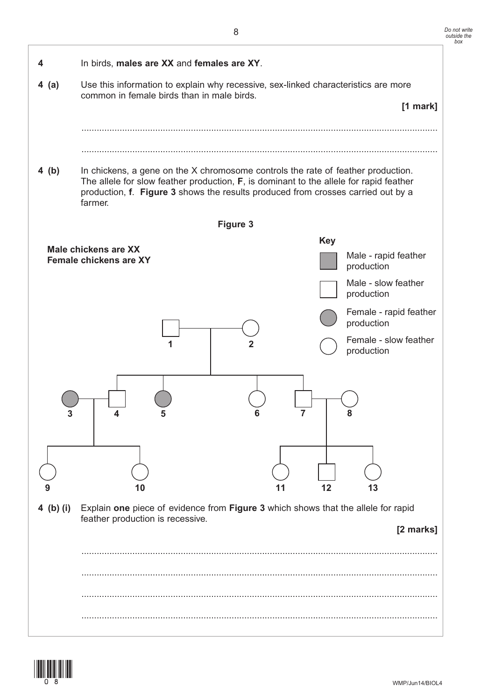



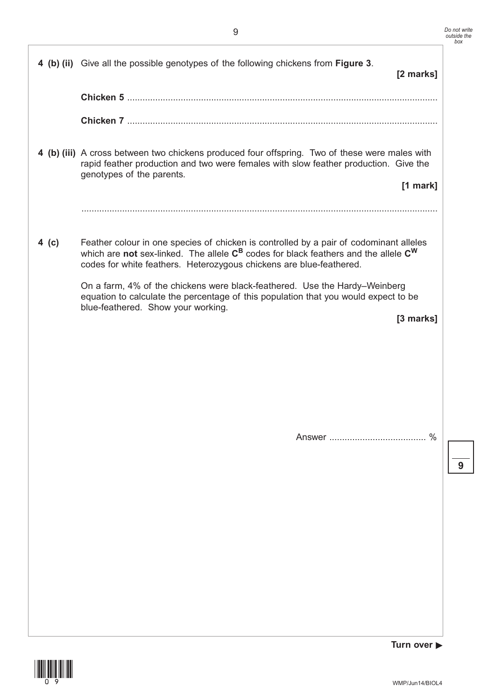|       | 4 (b) (ii) Give all the possible genotypes of the following chickens from Figure 3.                                                                                                                                                                       | [2 marks]  |
|-------|-----------------------------------------------------------------------------------------------------------------------------------------------------------------------------------------------------------------------------------------------------------|------------|
|       |                                                                                                                                                                                                                                                           |            |
|       |                                                                                                                                                                                                                                                           |            |
|       | 4 (b) (iii) A cross between two chickens produced four offspring. Two of these were males with<br>rapid feather production and two were females with slow feather production. Give the<br>genotypes of the parents.                                       | $[1$ mark] |
|       |                                                                                                                                                                                                                                                           |            |
| 4 (c) | Feather colour in one species of chicken is controlled by a pair of codominant alleles<br>which are not sex-linked. The allele $C^B$ codes for black feathers and the allele $C^W$<br>codes for white feathers. Heterozygous chickens are blue-feathered. |            |
|       | On a farm, 4% of the chickens were black-feathered. Use the Hardy–Weinberg<br>equation to calculate the percentage of this population that you would expect to be<br>blue-feathered. Show your working.                                                   | [3 marks]  |
|       |                                                                                                                                                                                                                                                           | $\%$       |



**9**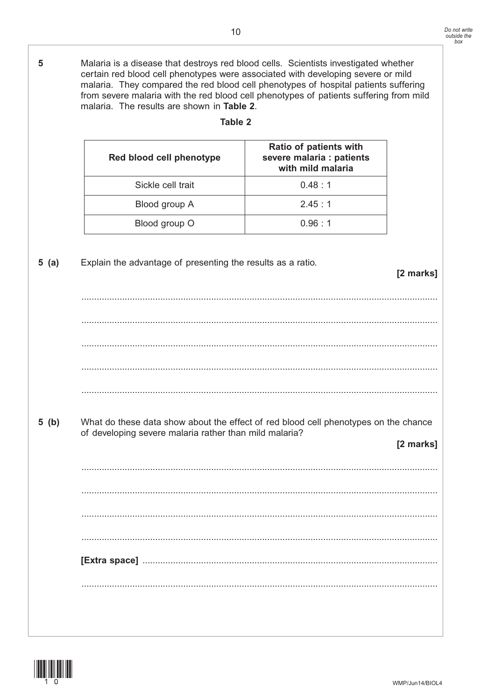**5** Malaria is a disease that destroys red blood cells. Scientists investigated whether certain red blood cell phenotypes were associated with developing severe or mild malaria. They compared the red blood cell phenotypes of hospital patients suffering from severe malaria with the red blood cell phenotypes of patients suffering from mild malaria. The results are shown in **Table 2**.

| Red blood cell phenotype | <b>Ratio of patients with</b><br>severe malaria : patients<br>with mild malaria |
|--------------------------|---------------------------------------------------------------------------------|
| Sickle cell trait        | 0.48 : 1                                                                        |
| Blood group A            | 2.45:1                                                                          |
| Blood group O            | 0.96 : 1                                                                        |

**Table 2**

**5 (a)** Explain the advantage of presenting the results as a ratio.

# **[2 marks]**

............................................................................................................................................ ............................................................................................................................................ ............................................................................................................................................ ............................................................................................................................................ ............................................................................................................................................ **5 (b)** What do these data show about the effect of red blood cell phenotypes on the chance of developing severe malaria rather than mild malaria? **[2 marks]** ............................................................................................................................................ ............................................................................................................................................ ............................................................................................................................................ ............................................................................................................................................ **[Extra space]** .................................................................................................................... ............................................................................................................................................

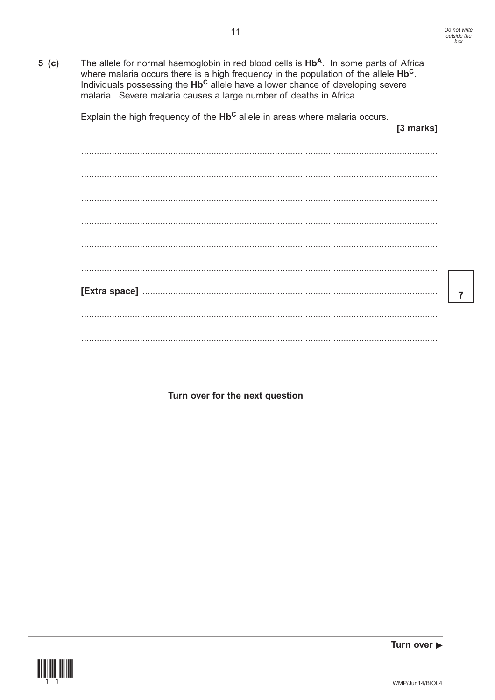$\overline{7}$ 

| 5( c ) | The allele for normal haemoglobin in red blood cells is Hb <sup>A</sup> . In some parts of Africa<br>where malaria occurs there is a high frequency in the population of the allele Hb <sup>C</sup> .<br>Individuals possessing the Hb <sup>C</sup> allele have a lower chance of developing severe<br>malaria. Severe malaria causes a large number of deaths in Africa. |
|--------|---------------------------------------------------------------------------------------------------------------------------------------------------------------------------------------------------------------------------------------------------------------------------------------------------------------------------------------------------------------------------|
|        | Explain the high frequency of the Hb <sup>c</sup> allele in areas where malaria occurs.<br>[3 marks]                                                                                                                                                                                                                                                                      |
|        |                                                                                                                                                                                                                                                                                                                                                                           |
|        |                                                                                                                                                                                                                                                                                                                                                                           |
|        |                                                                                                                                                                                                                                                                                                                                                                           |
|        |                                                                                                                                                                                                                                                                                                                                                                           |
|        |                                                                                                                                                                                                                                                                                                                                                                           |
|        |                                                                                                                                                                                                                                                                                                                                                                           |
|        |                                                                                                                                                                                                                                                                                                                                                                           |
|        |                                                                                                                                                                                                                                                                                                                                                                           |
|        |                                                                                                                                                                                                                                                                                                                                                                           |
|        |                                                                                                                                                                                                                                                                                                                                                                           |
|        | Turn over for the next question                                                                                                                                                                                                                                                                                                                                           |
|        |                                                                                                                                                                                                                                                                                                                                                                           |
|        |                                                                                                                                                                                                                                                                                                                                                                           |
|        |                                                                                                                                                                                                                                                                                                                                                                           |
|        |                                                                                                                                                                                                                                                                                                                                                                           |
|        |                                                                                                                                                                                                                                                                                                                                                                           |
|        |                                                                                                                                                                                                                                                                                                                                                                           |
|        |                                                                                                                                                                                                                                                                                                                                                                           |
|        |                                                                                                                                                                                                                                                                                                                                                                           |
|        |                                                                                                                                                                                                                                                                                                                                                                           |

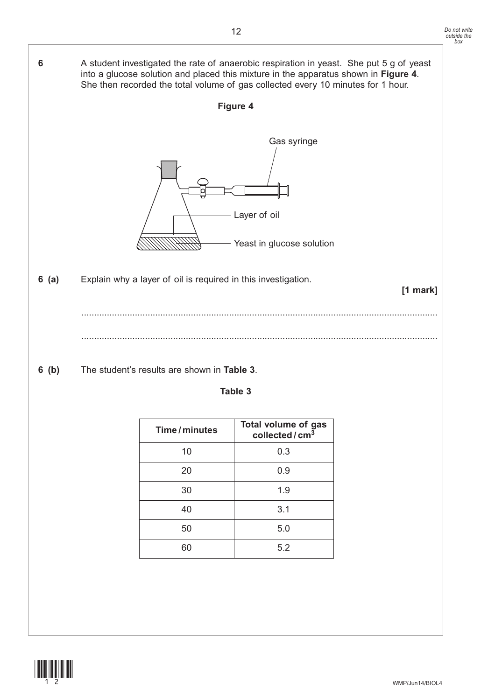

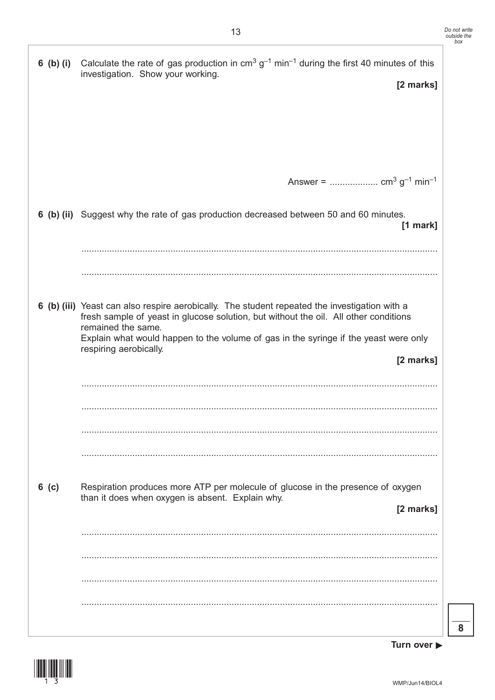|         | 6 (b) (i) Calculate the rate of gas production in $cm3 g-1 min-1$ during the first 40 minutes of this<br>investigation. Show your working.                                                                  |
|---------|-------------------------------------------------------------------------------------------------------------------------------------------------------------------------------------------------------------|
|         | [2 marks]                                                                                                                                                                                                   |
|         |                                                                                                                                                                                                             |
|         |                                                                                                                                                                                                             |
|         |                                                                                                                                                                                                             |
|         |                                                                                                                                                                                                             |
|         |                                                                                                                                                                                                             |
|         |                                                                                                                                                                                                             |
|         | 6 (b) (ii) Suggest why the rate of gas production decreased between 50 and 60 minutes.<br>$[1$ mark]                                                                                                        |
|         |                                                                                                                                                                                                             |
|         |                                                                                                                                                                                                             |
|         |                                                                                                                                                                                                             |
|         | 6 (b) (iii) Yeast can also respire aerobically. The student repeated the investigation with a<br>fresh sample of yeast in glucose solution, but without the oil. All other conditions<br>remained the same. |
|         | Explain what would happen to the volume of gas in the syringe if the yeast were only<br>respiring aerobically.                                                                                              |
|         | [2 marks]                                                                                                                                                                                                   |
|         |                                                                                                                                                                                                             |
|         |                                                                                                                                                                                                             |
|         |                                                                                                                                                                                                             |
|         |                                                                                                                                                                                                             |
|         |                                                                                                                                                                                                             |
| $6$ (c) | Respiration produces more ATP per molecule of glucose in the presence of oxygen                                                                                                                             |
|         | than it does when oxygen is absent. Explain why.<br>[2 marks]                                                                                                                                               |
|         |                                                                                                                                                                                                             |
|         |                                                                                                                                                                                                             |
|         |                                                                                                                                                                                                             |
|         |                                                                                                                                                                                                             |
|         |                                                                                                                                                                                                             |
|         |                                                                                                                                                                                                             |

 $\overline{\mathbf{8}}$ 

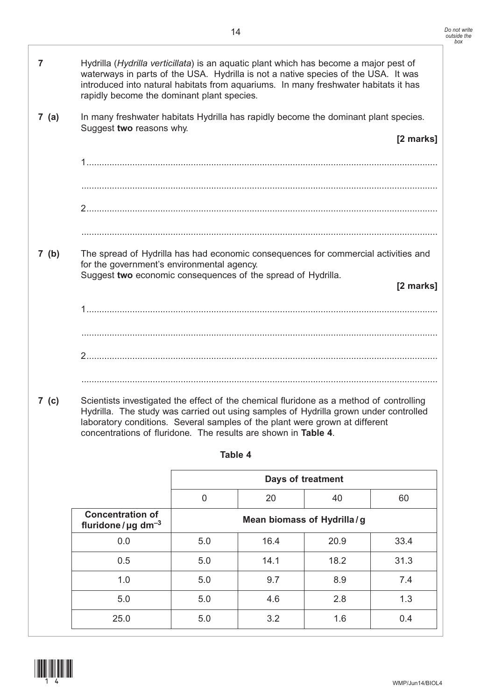| $\overline{7}$ | Hydrilla (Hydrilla verticillata) is an aquatic plant which has become a major pest of<br>waterways in parts of the USA. Hydrilla is not a native species of the USA. It was<br>introduced into natural habitats from aquariums. In many freshwater habitats it has<br>rapidly become the dominant plant species.                 |                |                            |                   |           |  |  |
|----------------|----------------------------------------------------------------------------------------------------------------------------------------------------------------------------------------------------------------------------------------------------------------------------------------------------------------------------------|----------------|----------------------------|-------------------|-----------|--|--|
| 7(a)           | In many freshwater habitats Hydrilla has rapidly become the dominant plant species.                                                                                                                                                                                                                                              |                |                            |                   |           |  |  |
|                | Suggest two reasons why.                                                                                                                                                                                                                                                                                                         |                |                            |                   | [2 marks] |  |  |
|                |                                                                                                                                                                                                                                                                                                                                  |                |                            |                   |           |  |  |
|                |                                                                                                                                                                                                                                                                                                                                  |                |                            |                   |           |  |  |
|                |                                                                                                                                                                                                                                                                                                                                  |                |                            |                   |           |  |  |
|                |                                                                                                                                                                                                                                                                                                                                  |                |                            |                   |           |  |  |
| 7(b)           | The spread of Hydrilla has had economic consequences for commercial activities and<br>for the government's environmental agency.                                                                                                                                                                                                 |                |                            |                   |           |  |  |
|                | Suggest two economic consequences of the spread of Hydrilla.                                                                                                                                                                                                                                                                     |                |                            |                   | [2 marks] |  |  |
|                |                                                                                                                                                                                                                                                                                                                                  |                |                            |                   |           |  |  |
|                |                                                                                                                                                                                                                                                                                                                                  |                |                            |                   |           |  |  |
|                |                                                                                                                                                                                                                                                                                                                                  |                |                            |                   |           |  |  |
|                |                                                                                                                                                                                                                                                                                                                                  |                |                            |                   |           |  |  |
|                |                                                                                                                                                                                                                                                                                                                                  |                |                            |                   |           |  |  |
| 7 (c)          | Scientists investigated the effect of the chemical fluridone as a method of controlling<br>Hydrilla. The study was carried out using samples of Hydrilla grown under controlled<br>laboratory conditions. Several samples of the plant were grown at different<br>concentrations of fluridone. The results are shown in Table 4. |                |                            |                   |           |  |  |
|                |                                                                                                                                                                                                                                                                                                                                  | Table 4        |                            |                   |           |  |  |
|                |                                                                                                                                                                                                                                                                                                                                  |                |                            | Days of treatment |           |  |  |
|                |                                                                                                                                                                                                                                                                                                                                  | $\overline{0}$ | 20                         | 40                | 60        |  |  |
|                | <b>Concentration of</b><br>fluridone/ $\mu$ g dm <sup>-3</sup>                                                                                                                                                                                                                                                                   |                | Mean biomass of Hydrilla/g |                   |           |  |  |
|                | 0.0                                                                                                                                                                                                                                                                                                                              | 5.0            | 16.4                       | 20.9              | 33.4      |  |  |
|                | 0.5                                                                                                                                                                                                                                                                                                                              | 5.0            | 14.1                       | 18.2              | 31.3      |  |  |
|                | 1.0                                                                                                                                                                                                                                                                                                                              | 5.0            | 9.7                        | 8.9               | 7.4       |  |  |

5.0 5.0 4.6 2.8 1.3

25.0 5.0 3.2 1.6 0.4

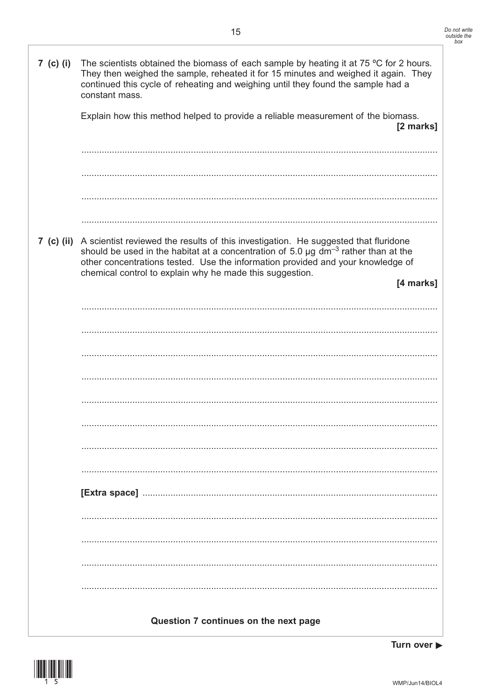| 7 (c) (i)  | The scientists obtained the biomass of each sample by heating it at 75 $\degree$ C for 2 hours.<br>They then weighed the sample, reheated it for 15 minutes and weighed it again. They<br>continued this cycle of reheating and weighing until they found the sample had a<br>constant mass.                                                           |
|------------|--------------------------------------------------------------------------------------------------------------------------------------------------------------------------------------------------------------------------------------------------------------------------------------------------------------------------------------------------------|
|            | Explain how this method helped to provide a reliable measurement of the biomass.<br>[2 marks]                                                                                                                                                                                                                                                          |
|            |                                                                                                                                                                                                                                                                                                                                                        |
|            |                                                                                                                                                                                                                                                                                                                                                        |
| 7 (c) (ii) | A scientist reviewed the results of this investigation. He suggested that fluridone<br>should be used in the habitat at a concentration of 5.0 $\mu$ g dm <sup>-3</sup> rather than at the<br>other concentrations tested. Use the information provided and your knowledge of<br>chemical control to explain why he made this suggestion.<br>[4 marks] |
|            |                                                                                                                                                                                                                                                                                                                                                        |
|            |                                                                                                                                                                                                                                                                                                                                                        |
|            |                                                                                                                                                                                                                                                                                                                                                        |
|            |                                                                                                                                                                                                                                                                                                                                                        |
|            |                                                                                                                                                                                                                                                                                                                                                        |
|            |                                                                                                                                                                                                                                                                                                                                                        |
|            |                                                                                                                                                                                                                                                                                                                                                        |
|            |                                                                                                                                                                                                                                                                                                                                                        |
|            |                                                                                                                                                                                                                                                                                                                                                        |
|            |                                                                                                                                                                                                                                                                                                                                                        |
|            |                                                                                                                                                                                                                                                                                                                                                        |
|            |                                                                                                                                                                                                                                                                                                                                                        |
|            |                                                                                                                                                                                                                                                                                                                                                        |
|            |                                                                                                                                                                                                                                                                                                                                                        |
|            |                                                                                                                                                                                                                                                                                                                                                        |
|            |                                                                                                                                                                                                                                                                                                                                                        |
|            | Question 7 continues on the next page                                                                                                                                                                                                                                                                                                                  |

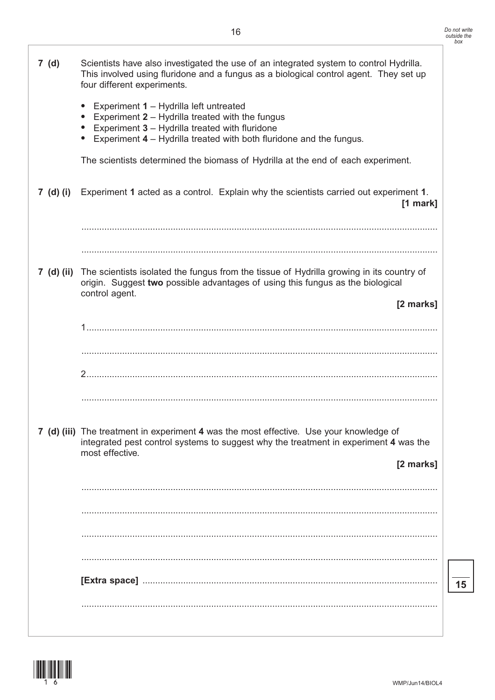|            | Experiment 1 - Hydrilla left untreated<br>Experiment $2$ – Hydrilla treated with the fungus<br>Experiment 3 - Hydrilla treated with fluridone<br>Experiment $4$ – Hydrilla treated with both fluridone and the fungus.<br>$\bullet$ |    |
|------------|-------------------------------------------------------------------------------------------------------------------------------------------------------------------------------------------------------------------------------------|----|
|            | The scientists determined the biomass of Hydrilla at the end of each experiment.                                                                                                                                                    |    |
| 7 (d) (i)  | Experiment 1 acted as a control. Explain why the scientists carried out experiment 1.<br>$[1$ mark]                                                                                                                                 |    |
|            |                                                                                                                                                                                                                                     |    |
| 7 (d) (ii) | The scientists isolated the fungus from the tissue of Hydrilla growing in its country of<br>origin. Suggest two possible advantages of using this fungus as the biological<br>control agent.                                        |    |
|            | [2 marks]                                                                                                                                                                                                                           |    |
|            |                                                                                                                                                                                                                                     |    |
|            |                                                                                                                                                                                                                                     |    |
|            |                                                                                                                                                                                                                                     |    |
|            | 7 (d) (iii) The treatment in experiment 4 was the most effective. Use your knowledge of<br>integrated pest control systems to suggest why the treatment in experiment 4 was the<br>most effective.                                  |    |
|            | [2 marks]                                                                                                                                                                                                                           |    |
|            |                                                                                                                                                                                                                                     |    |
|            |                                                                                                                                                                                                                                     |    |
|            |                                                                                                                                                                                                                                     |    |
|            | [Extra space]                                                                                                                                                                                                                       | 15 |
|            |                                                                                                                                                                                                                                     |    |
|            |                                                                                                                                                                                                                                     |    |
|            |                                                                                                                                                                                                                                     |    |
|            | WMP/Jun14/BIOL4                                                                                                                                                                                                                     |    |

**7 (d)** Scientists have also investigated the use of an integrated system to control Hydrilla.

four different experiments.

This involved using fluridone and a fungus as a biological control agent. They set up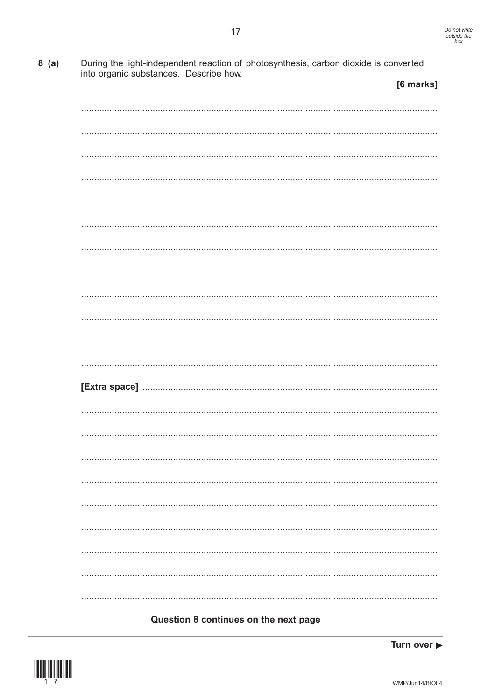| 8(a) | During the light-independent reaction of photosynthesis, carbon dioxide is converted<br>into organic substances. Describe how. |           |
|------|--------------------------------------------------------------------------------------------------------------------------------|-----------|
|      |                                                                                                                                | [6 marks] |
|      |                                                                                                                                |           |
|      |                                                                                                                                |           |
|      |                                                                                                                                |           |
|      |                                                                                                                                |           |
|      |                                                                                                                                |           |
|      |                                                                                                                                |           |
|      |                                                                                                                                |           |
|      |                                                                                                                                |           |
|      |                                                                                                                                |           |
|      |                                                                                                                                |           |
|      |                                                                                                                                |           |
|      |                                                                                                                                |           |
|      |                                                                                                                                |           |
|      |                                                                                                                                |           |
|      |                                                                                                                                |           |
|      |                                                                                                                                |           |
|      |                                                                                                                                |           |
|      |                                                                                                                                |           |
|      |                                                                                                                                |           |
|      |                                                                                                                                |           |
|      |                                                                                                                                |           |
|      |                                                                                                                                |           |
|      | Question 8 continues on the next page                                                                                          |           |

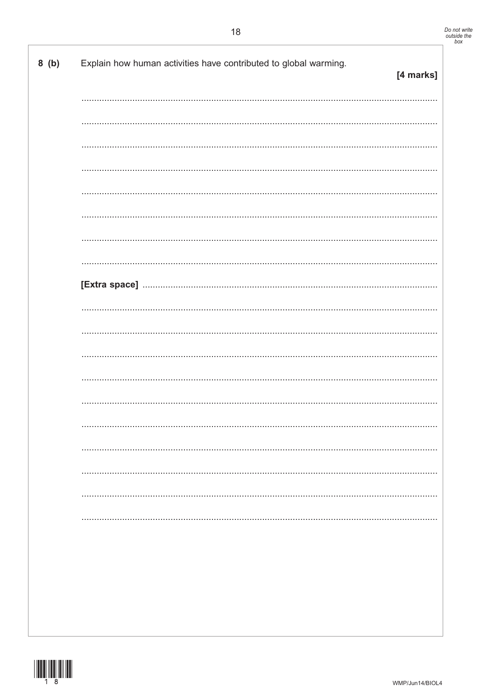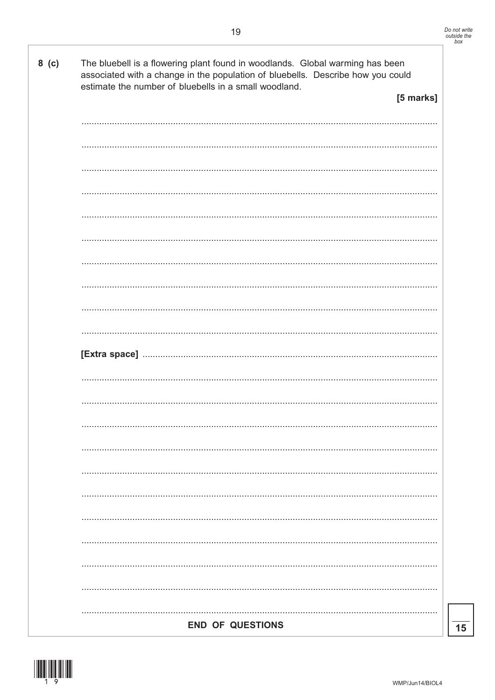

 $8(G)$ 

|  | <b>END OF QUESTIONS</b> |
|--|-------------------------|

| estimate the number of bluebells in a small woodland. |  |  |  | associated with a change in the population of bluebells. Describe how you could |
|-------------------------------------------------------|--|--|--|---------------------------------------------------------------------------------|
|                                                       |  |  |  | [5 marks]                                                                       |
|                                                       |  |  |  |                                                                                 |
|                                                       |  |  |  |                                                                                 |
|                                                       |  |  |  |                                                                                 |
|                                                       |  |  |  |                                                                                 |
|                                                       |  |  |  |                                                                                 |
|                                                       |  |  |  |                                                                                 |
|                                                       |  |  |  |                                                                                 |
|                                                       |  |  |  |                                                                                 |
|                                                       |  |  |  |                                                                                 |
|                                                       |  |  |  |                                                                                 |
|                                                       |  |  |  |                                                                                 |
|                                                       |  |  |  |                                                                                 |
|                                                       |  |  |  |                                                                                 |
|                                                       |  |  |  |                                                                                 |
|                                                       |  |  |  |                                                                                 |
|                                                       |  |  |  |                                                                                 |
|                                                       |  |  |  |                                                                                 |
|                                                       |  |  |  |                                                                                 |
|                                                       |  |  |  |                                                                                 |
|                                                       |  |  |  |                                                                                 |
|                                                       |  |  |  |                                                                                 |